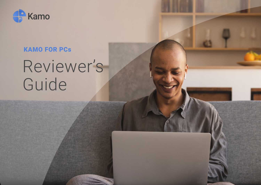

# KAMO FOR PCs

## Reviewer's Guide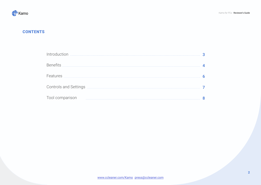

## **CONTENTS**

| Introduction                 |  |
|------------------------------|--|
| <b>Benefits</b>              |  |
| Features                     |  |
| <b>Controls and Settings</b> |  |
| Tool comparisor              |  |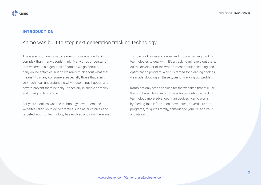

## INTRODUCTION

## Kamo was built to stop next generation tracking technology

The issue of online privacy is much more nuanced and complex than many people think. Many of us understand that we create a digital trail of data as we go about our daily online activities, but do we really think about what that means? To many consumers, especially those that aren't very technical, understanding why those things happen and how to prevent them is tricky—especially in such a complex and changing landscape.

For years, cookies was the technology advertisers and websites relied on to deliver tactics such as price hikes and targeted ads. But technology has evolved and now there are zombie cookies, ever cookies and more emerging tracking technologies to deal with. It's a tracking minefield out there. As the developer of the world's most popular cleaning and optimization program, which is famed for cleaning cookies, we made stopping all these types of tracking our problem.

Kamo not only stops cookies for the websites that still use them but also deals with browser fingerprinting, a tracking technology more advanced than cookies. Kamo works by feeding fake information to websites, advertisers and programs, to, quite literally, camouflage your PC and your activity on it.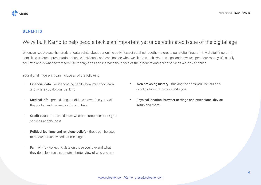<span id="page-3-0"></span>

#### **BENEFITS**

## We've built Kamo to help people tackle an important yet underestimated issue of the digital age

Whenever we browse, hundreds of data points about our online activities get stitched together to create our digital fingerprint. A digital fingerprint acts like a unique representation of us as individuals and can include what we like to watch, where we go, and how we spend our money. It's scarily accurate and is what advertisers use to target ads and increase the prices of the products and online services we look at online.

Your digital fingerprint can include all of the following:

- Financial data your spending habits, how much you earn, and where you do your banking
- Medical info pre-existing conditions, how often you visit the doctor, and the medication you take
- Credit score this can dictate whether companies offer you services and the cost
- Political leanings and religious beliefs these can be used to create persuasive ads or messages
- Family info collecting data on those you love and what they do helps trackers create a better view of who you are
- Web browsing history tracking the sites you visit builds a good picture of what interests you
- Physical location, browser settings and extensions, device setup and more...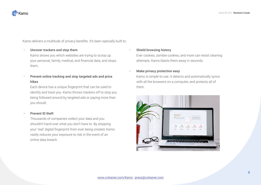

Kamo delivers a multitude of privacy benefits. It's been specially built to:

#### Uncover trackers and stop them

Kamo shows you which websites are trying to scoop up your personal, family, medical, and financial data, and stops them.

Prevent online tracking and stop targeted ads and price hikes

Each device has a unique fingerprint that can be used to identify and track you. Kamo throws trackers off to stop you being followed around by targeted ads or paying more than you should.

#### Prevent ID theft

Thousands of companies collect your data and you shouldn't hand over what you don't have to. By stopping your 'real' digital fingerprint from ever being created, Kamo vastly reduces your exposure to risk in the event of an online data breach.

#### Shield browsing history

Ever cookies, zombie cookies, and more can resist cleaning attempts. Kamo blasts them away in seconds.

#### Make privacy protection easy

Kamo is simple to use. It detects and automatically syncs with all the browsers on a computer, and protects all of them.

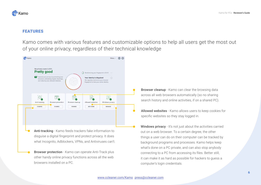

#### FEATURES

Kamo comes with various features and customizable options to help all users get the most out of your online privacy, regardless of their technical knowledge



- what Incognito, Adblockers, VPNs, and Antiviruses can't.
- **Browser protection** Kamo can operate Anti-Track plus other handy online privacy functions across all the web browsers installed on a PC.

**Browser cleanup** - Kamo can clear the browsing data across all web browsers automatically (so no sharing search history and online activities, if on a shared PC).

Allowed websites - Kamo allows users to keep cookies for specific websites so they stay logged in.

Windows privacy - It's not just about the activities carried out on a web browser. To a certain degree, the other things a user can do on their computer can be tracked by background programs and processes. Kamo helps keep what's done on a PC private, and can also stop anybody connecting to a PC from accessing its files. Better still, it can make it as hard as possible for hackers to guess a computer's login credentials.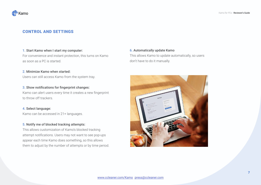## CONTROL AND SETTINGS

#### 1. Start Kamo when I start my computer:

For convenience and instant protection, this turns on Kamo as soon as a PC is started.

## 2. Minimize Kamo when started:

Users can still access Kamo from the system tray.

## 3. Show notifications for fingerprint changes: Kamo can alert users every time it creates a new fingerprint to throw off trackers.

#### 4. Select language:

Kamo can be accessed in 21+ languages.

#### 5. Notify me of blocked tracking attempts:

This allows customization of Kamo's blocked tracking attempt notifications. Users may not want to see pop-ups appear each time Kamo does something, so this allows them to adjust by the number of attempts or by time period.

## 6. Automatically update Kamo This allows Kamo to update automatically, so users

don't have to do it manually.

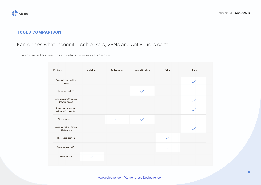## TOOLS COMPARISON

## Kamo does what Incognito, Adblockers, VPNs and Antiviruses can't

It can be trialled, for free (no card details necessary), for 14 days.

| <b>Features</b>                               | <b>Antivirus</b> | <b>Ad-blockers</b> | <b>Incognito Mode</b> | <b>VPN</b> | Kamo |
|-----------------------------------------------|------------------|--------------------|-----------------------|------------|------|
| Detects latest tracking<br>threats            |                  |                    |                       |            |      |
| Removes cookies                               |                  |                    |                       |            |      |
| Anti-fingerprint tracking<br>(newest threat)  |                  |                    |                       |            |      |
| Dashboard to see and<br>enhance ID protection |                  |                    |                       |            |      |
| Stop targeted ads                             |                  |                    |                       |            |      |
| Designed not to interfere<br>with browsing    |                  |                    |                       |            |      |
| Hides your location                           |                  |                    |                       |            |      |
| Encrypts your traffic                         |                  |                    |                       |            |      |
| Stops viruses                                 |                  |                    |                       |            |      |